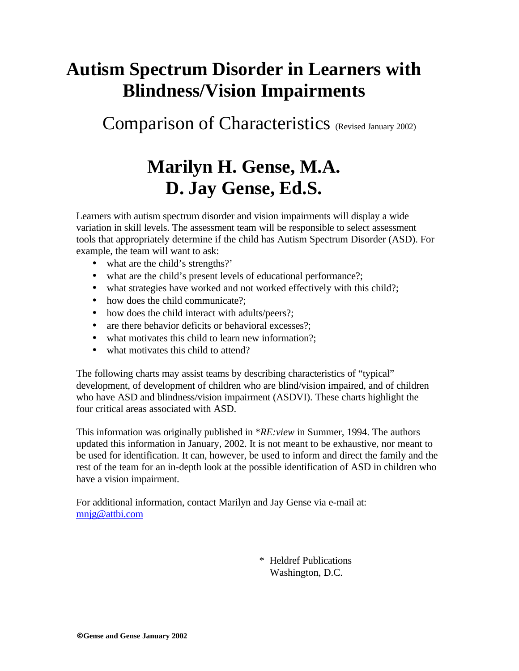#### **Autism Spectrum Disorder in Learners with Blindness/Vision Impairments**

Comparison of Characteristics (Revised January 2002)

#### **Marilyn H. Gense, M.A. D. Jay Gense, Ed.S.**

Learners with autism spectrum disorder and vision impairments will display a wide variation in skill levels. The assessment team will be responsible to select assessment tools that appropriately determine if the child has Autism Spectrum Disorder (ASD). For example, the team will want to ask:

- what are the child's strengths?'
- what are the child's present levels of educational performance?;
- what strategies have worked and not worked effectively with this child?;
- how does the child communicate?;
- how does the child interact with adults/peers?:
- are there behavior deficits or behavioral excesses?;
- what motivates this child to learn new information?;
- what motivates this child to attend?

The following charts may assist teams by describing characteristics of "typical" development, of development of children who are blind/vision impaired, and of children who have ASD and blindness/vision impairment (ASDVI). These charts highlight the four critical areas associated with ASD.

This information was originally published in \**RE:view* in Summer, 1994. The authors updated this information in January, 2002. It is not meant to be exhaustive, nor meant to be used for identification. It can, however, be used to inform and direct the family and the rest of the team for an in-depth look at the possible identification of ASD in children who have a vision impairment.

For additional information, contact Marilyn and Jay Gense via e-mail at: mnjg@attbi.com

> \* Heldref Publications Washington, D.C.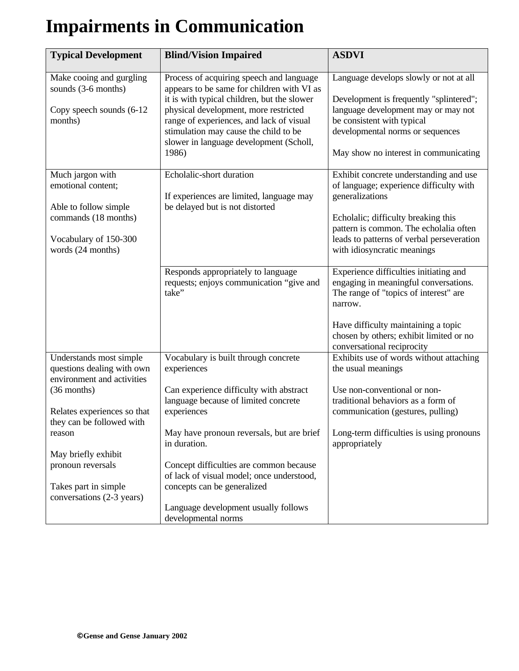# **Impairments in Communication**

| <b>Typical Development</b>                                                          | <b>Blind/Vision Impaired</b>                                                              | <b>ASDVI</b>                                                                                                                        |
|-------------------------------------------------------------------------------------|-------------------------------------------------------------------------------------------|-------------------------------------------------------------------------------------------------------------------------------------|
| Make cooing and gurgling                                                            | Process of acquiring speech and language                                                  | Language develops slowly or not at all                                                                                              |
| sounds (3-6 months)                                                                 | appears to be same for children with VI as<br>it is with typical children, but the slower | Development is frequently "splintered";                                                                                             |
| Copy speech sounds (6-12<br>months)                                                 | physical development, more restricted<br>range of experiences, and lack of visual         | language development may or may not<br>be consistent with typical                                                                   |
|                                                                                     | stimulation may cause the child to be<br>slower in language development (Scholl,          | developmental norms or sequences                                                                                                    |
|                                                                                     | 1986)                                                                                     | May show no interest in communicating                                                                                               |
| Much jargon with                                                                    | Echolalic-short duration                                                                  | Exhibit concrete understanding and use                                                                                              |
| emotional content;                                                                  | If experiences are limited, language may                                                  | of language; experience difficulty with<br>generalizations                                                                          |
| Able to follow simple<br>commands (18 months)                                       | be delayed but is not distorted                                                           | Echolalic; difficulty breaking this                                                                                                 |
| Vocabulary of 150-300                                                               |                                                                                           | pattern is common. The echolalia often<br>leads to patterns of verbal perseveration                                                 |
| words (24 months)                                                                   |                                                                                           | with idiosyncratic meanings                                                                                                         |
|                                                                                     | Responds appropriately to language<br>requests; enjoys communication "give and<br>take"   | Experience difficulties initiating and<br>engaging in meaningful conversations.<br>The range of "topics of interest" are<br>narrow. |
|                                                                                     |                                                                                           | Have difficulty maintaining a topic<br>chosen by others; exhibit limited or no<br>conversational reciprocity                        |
| Understands most simple<br>questions dealing with own<br>environment and activities | Vocabulary is built through concrete<br>experiences                                       | Exhibits use of words without attaching<br>the usual meanings                                                                       |
| $(36$ months)                                                                       | Can experience difficulty with abstract<br>language because of limited concrete           | Use non-conventional or non-<br>traditional behaviors as a form of                                                                  |
| Relates experiences so that<br>they can be followed with                            | experiences                                                                               | communication (gestures, pulling)                                                                                                   |
| reason                                                                              | May have pronoun reversals, but are brief<br>in duration.                                 | Long-term difficulties is using pronouns<br>appropriately                                                                           |
| May briefly exhibit                                                                 |                                                                                           |                                                                                                                                     |
| pronoun reversals                                                                   | Concept difficulties are common because<br>of lack of visual model; once understood,      |                                                                                                                                     |
| Takes part in simple<br>conversations (2-3 years)                                   | concepts can be generalized                                                               |                                                                                                                                     |
|                                                                                     | Language development usually follows<br>developmental norms                               |                                                                                                                                     |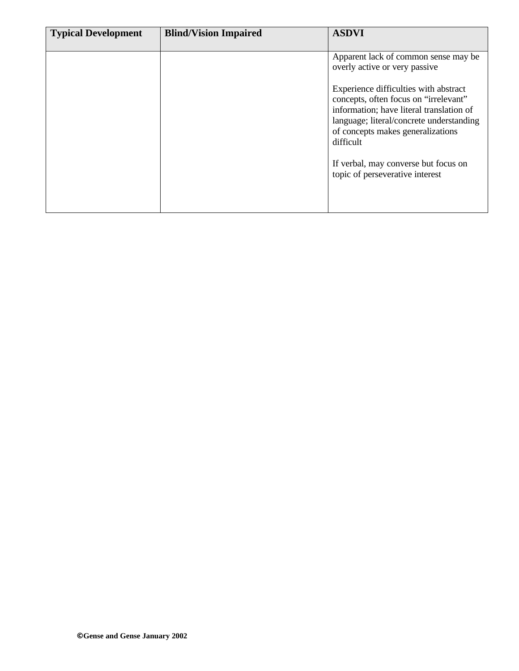| <b>Typical Development</b> | <b>Blind/Vision Impaired</b> | <b>ASDVI</b>                                                                                                                                                                                                             |
|----------------------------|------------------------------|--------------------------------------------------------------------------------------------------------------------------------------------------------------------------------------------------------------------------|
|                            |                              | Apparent lack of common sense may be<br>overly active or very passive                                                                                                                                                    |
|                            |                              | Experience difficulties with abstract<br>concepts, often focus on "irrelevant"<br>information; have literal translation of<br>language; literal/concrete understanding<br>of concepts makes generalizations<br>difficult |
|                            |                              | If verbal, may converse but focus on<br>topic of perseverative interest                                                                                                                                                  |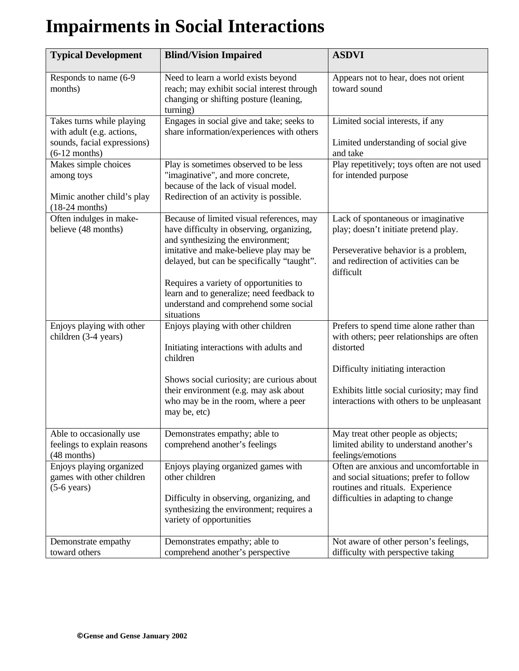# **Impairments in Social Interactions**

| <b>Typical Development</b>                                                                               | <b>Blind/Vision Impaired</b>                                                                                                                                                                                                                                                                                                                                      | <b>ASDVI</b>                                                                                                                                                                                                                      |
|----------------------------------------------------------------------------------------------------------|-------------------------------------------------------------------------------------------------------------------------------------------------------------------------------------------------------------------------------------------------------------------------------------------------------------------------------------------------------------------|-----------------------------------------------------------------------------------------------------------------------------------------------------------------------------------------------------------------------------------|
| Responds to name (6-9)<br>months)                                                                        | Need to learn a world exists beyond<br>reach; may exhibit social interest through<br>changing or shifting posture (leaning,<br>turning)                                                                                                                                                                                                                           | Appears not to hear, does not orient<br>toward sound                                                                                                                                                                              |
| Takes turns while playing<br>with adult (e.g. actions,<br>sounds, facial expressions)<br>$(6-12$ months) | Engages in social give and take; seeks to<br>share information/experiences with others                                                                                                                                                                                                                                                                            | Limited social interests, if any<br>Limited understanding of social give<br>and take                                                                                                                                              |
| Makes simple choices<br>among toys<br>Mimic another child's play<br>$(18-24$ months)                     | Play is sometimes observed to be less<br>"imaginative", and more concrete,<br>because of the lack of visual model.<br>Redirection of an activity is possible.                                                                                                                                                                                                     | Play repetitively; toys often are not used<br>for intended purpose                                                                                                                                                                |
| Often indulges in make-<br>believe (48 months)                                                           | Because of limited visual references, may<br>have difficulty in observing, organizing,<br>and synthesizing the environment;<br>imitative and make-believe play may be<br>delayed, but can be specifically "taught".<br>Requires a variety of opportunities to<br>learn and to generalize; need feedback to<br>understand and comprehend some social<br>situations | Lack of spontaneous or imaginative<br>play; doesn't initiate pretend play.<br>Perseverative behavior is a problem,<br>and redirection of activities can be<br>difficult                                                           |
| Enjoys playing with other<br>children (3-4 years)                                                        | Enjoys playing with other children<br>Initiating interactions with adults and<br>children<br>Shows social curiosity; are curious about<br>their environment (e.g. may ask about<br>who may be in the room, where a peer<br>may be, etc)                                                                                                                           | Prefers to spend time alone rather than<br>with others; peer relationships are often<br>distorted<br>Difficulty initiating interaction<br>Exhibits little social curiosity; may find<br>interactions with others to be unpleasant |
| Able to occasionally use<br>feelings to explain reasons<br>(48 months)                                   | Demonstrates empathy; able to<br>comprehend another's feelings                                                                                                                                                                                                                                                                                                    | May treat other people as objects;<br>limited ability to understand another's<br>feelings/emotions                                                                                                                                |
| Enjoys playing organized<br>games with other children<br>$(5-6 \text{ years})$                           | Enjoys playing organized games with<br>other children<br>Difficulty in observing, organizing, and<br>synthesizing the environment; requires a<br>variety of opportunities                                                                                                                                                                                         | Often are anxious and uncomfortable in<br>and social situations; prefer to follow<br>routines and rituals. Experience<br>difficulties in adapting to change                                                                       |
| Demonstrate empathy<br>toward others                                                                     | Demonstrates empathy; able to<br>comprehend another's perspective                                                                                                                                                                                                                                                                                                 | Not aware of other person's feelings,<br>difficulty with perspective taking                                                                                                                                                       |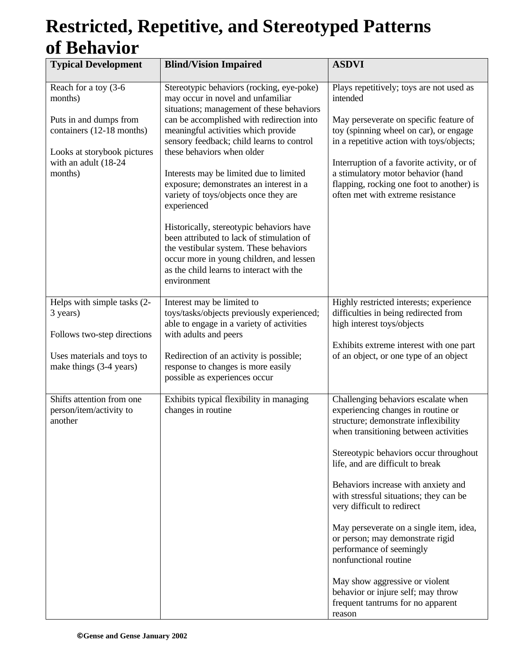#### **Restricted, Repetitive, and Stereotyped Patterns of Behavior**

| <b>Typical Development</b>                                                                                                                               | <b>Blind/Vision Impaired</b>                                                                                                                                                                                                                                                                                                                                                                                                                                                                                                                                                                                                                                                       | <b>ASDVI</b>                                                                                                                                                                                                                                                                                                                                                                                                                                                                                                                                                                                                       |
|----------------------------------------------------------------------------------------------------------------------------------------------------------|------------------------------------------------------------------------------------------------------------------------------------------------------------------------------------------------------------------------------------------------------------------------------------------------------------------------------------------------------------------------------------------------------------------------------------------------------------------------------------------------------------------------------------------------------------------------------------------------------------------------------------------------------------------------------------|--------------------------------------------------------------------------------------------------------------------------------------------------------------------------------------------------------------------------------------------------------------------------------------------------------------------------------------------------------------------------------------------------------------------------------------------------------------------------------------------------------------------------------------------------------------------------------------------------------------------|
| Reach for a toy (3-6<br>months)<br>Puts in and dumps from<br>containers (12-18 months)<br>Looks at storybook pictures<br>with an adult (18-24<br>months) | Stereotypic behaviors (rocking, eye-poke)<br>may occur in novel and unfamiliar<br>situations; management of these behaviors<br>can be accomplished with redirection into<br>meaningful activities which provide<br>sensory feedback; child learns to control<br>these behaviors when older<br>Interests may be limited due to limited<br>exposure; demonstrates an interest in a<br>variety of toys/objects once they are<br>experienced<br>Historically, stereotypic behaviors have<br>been attributed to lack of stimulation of<br>the vestibular system. These behaviors<br>occur more in young children, and lessen<br>as the child learns to interact with the<br>environment | Plays repetitively; toys are not used as<br>intended<br>May perseverate on specific feature of<br>toy (spinning wheel on car), or engage<br>in a repetitive action with toys/objects;<br>Interruption of a favorite activity, or of<br>a stimulatory motor behavior (hand<br>flapping, rocking one foot to another) is<br>often met with extreme resistance                                                                                                                                                                                                                                                        |
| Helps with simple tasks (2-<br>3 years)<br>Follows two-step directions<br>Uses materials and toys to<br>make things (3-4 years)                          | Interest may be limited to<br>toys/tasks/objects previously experienced;<br>able to engage in a variety of activities<br>with adults and peers<br>Redirection of an activity is possible;<br>response to changes is more easily<br>possible as experiences occur                                                                                                                                                                                                                                                                                                                                                                                                                   | Highly restricted interests; experience<br>difficulties in being redirected from<br>high interest toys/objects<br>Exhibits extreme interest with one part<br>of an object, or one type of an object                                                                                                                                                                                                                                                                                                                                                                                                                |
| Shifts attention from one<br>person/item/activity to<br>another                                                                                          | Exhibits typical flexibility in managing<br>changes in routine                                                                                                                                                                                                                                                                                                                                                                                                                                                                                                                                                                                                                     | Challenging behaviors escalate when<br>experiencing changes in routine or<br>structure; demonstrate inflexibility<br>when transitioning between activities<br>Stereotypic behaviors occur throughout<br>life, and are difficult to break<br>Behaviors increase with anxiety and<br>with stressful situations; they can be<br>very difficult to redirect<br>May perseverate on a single item, idea,<br>or person; may demonstrate rigid<br>performance of seemingly<br>nonfunctional routine<br>May show aggressive or violent<br>behavior or injure self; may throw<br>frequent tantrums for no apparent<br>reason |